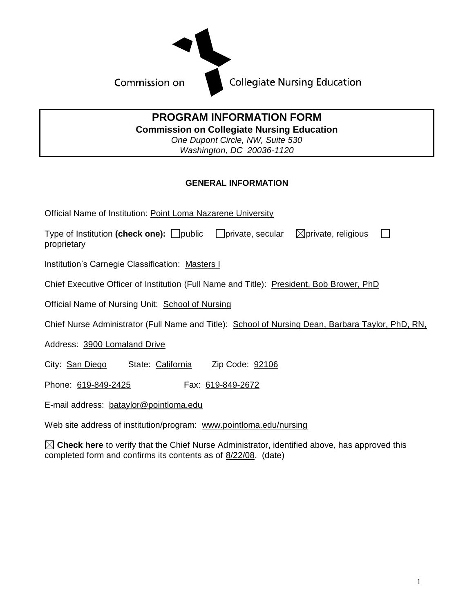

## **PROGRAM INFORMATION FORM Commission on Collegiate Nursing Education** *One Dupont Circle, NW, Suite 530*

*Washington, DC 20036-1120*

## **GENERAL INFORMATION**

Official Name of Institution: Point Loma Nazarene University

Type of Institution (check one):  $\Box$  public  $\Box$  private, secular  $\Box$  private, religious  $\mathbf{L}$ proprietary

Institution's Carnegie Classification: Masters I

Chief Executive Officer of Institution (Full Name and Title): President, Bob Brower, PhD

Official Name of Nursing Unit: School of Nursing

Chief Nurse Administrator (Full Name and Title): School of Nursing Dean, Barbara Taylor, PhD, RN,

Address: 3900 Lomaland Drive

City: San Diego State: California Zip Code: 92106

Phone: 619-849-2425 Fax: 619-849-2672

E-mail address: bataylor@pointloma.edu

Web site address of institution/program: www.pointloma.edu/nursing

 $\boxtimes$  Check here to verify that the Chief Nurse Administrator, identified above, has approved this completed form and confirms its contents as of 8/22/08. (date)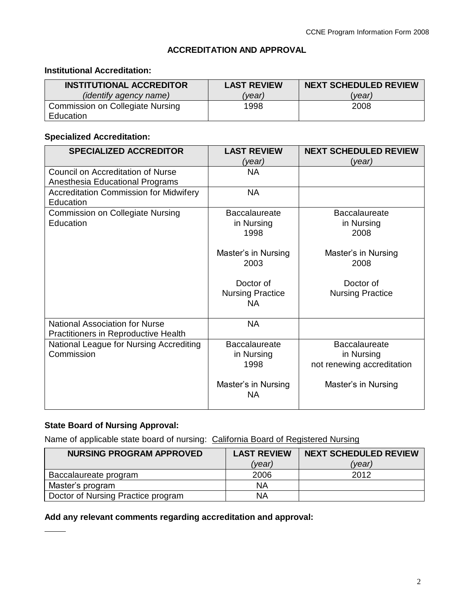### **ACCREDITATION AND APPROVAL**

# **Institutional Accreditation:**

| <b>INSTITUTIONAL ACCREDITOR</b>  | <b>LAST REVIEW</b> | <b>NEXT SCHEDULED REVIEW</b> |
|----------------------------------|--------------------|------------------------------|
| <i>(identify agency name)</i>    | (vear)             | vear)                        |
| Commission on Collegiate Nursing | 1998               | 2008                         |
| Education                        |                    |                              |

## **Specialized Accreditation:**

| <b>SPECIALIZED ACCREDITOR</b>                                                   | <b>LAST REVIEW</b>      | <b>NEXT SCHEDULED REVIEW</b> |
|---------------------------------------------------------------------------------|-------------------------|------------------------------|
|                                                                                 | (year)                  | (year)                       |
| <b>Council on Accreditation of Nurse</b>                                        | <b>NA</b>               |                              |
| Anesthesia Educational Programs                                                 |                         |                              |
| <b>Accreditation Commission for Midwifery</b>                                   | <b>NA</b>               |                              |
| Education                                                                       |                         |                              |
| <b>Commission on Collegiate Nursing</b>                                         | <b>Baccalaureate</b>    | <b>Baccalaureate</b>         |
| Education                                                                       | in Nursing              | in Nursing                   |
|                                                                                 | 1998                    | 2008                         |
|                                                                                 |                         |                              |
|                                                                                 | Master's in Nursing     | Master's in Nursing          |
|                                                                                 | 2003                    | 2008                         |
|                                                                                 |                         |                              |
|                                                                                 | Doctor of               | Doctor of                    |
|                                                                                 | <b>Nursing Practice</b> | <b>Nursing Practice</b>      |
|                                                                                 | NA.                     |                              |
| <b>National Association for Nurse</b>                                           | <b>NA</b>               |                              |
|                                                                                 |                         |                              |
| Practitioners in Reproductive Health<br>National League for Nursing Accrediting | <b>Baccalaureate</b>    | <b>Baccalaureate</b>         |
| Commission                                                                      |                         |                              |
|                                                                                 | in Nursing<br>1998      | in Nursing                   |
|                                                                                 |                         | not renewing accreditation   |
|                                                                                 | Master's in Nursing     | Master's in Nursing          |
|                                                                                 | <b>NA</b>               |                              |
|                                                                                 |                         |                              |
|                                                                                 |                         |                              |

## **State Board of Nursing Approval:**

Name of applicable state board of nursing: California Board of Registered Nursing

| <b>NURSING PROGRAM APPROVED</b>    | <b>LAST REVIEW</b> | <b>NEXT SCHEDULED REVIEW</b> |
|------------------------------------|--------------------|------------------------------|
|                                    | (vear)             | (vear)                       |
| Baccalaureate program              | 2006               | 2012                         |
| Master's program                   | ΝA                 |                              |
| Doctor of Nursing Practice program | NA                 |                              |

# **Add any relevant comments regarding accreditation and approval:**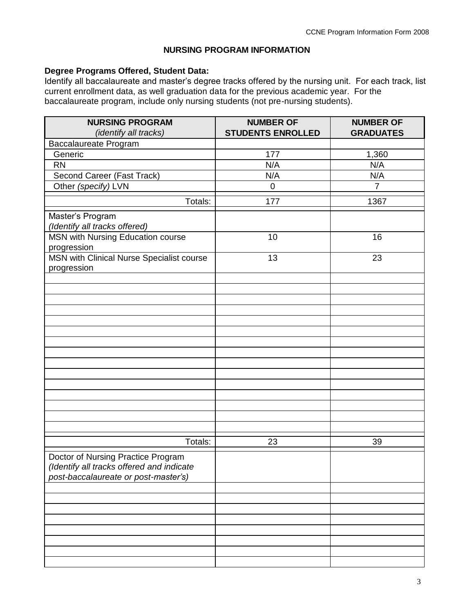#### **NURSING PROGRAM INFORMATION**

### **Degree Programs Offered, Student Data:**

Identify all baccalaureate and master's degree tracks offered by the nursing unit. For each track, list current enrollment data, as well graduation data for the previous academic year. For the baccalaureate program, include only nursing students (not pre-nursing students).

| <b>NURSING PROGRAM</b><br>(identify all tracks)                                                                         | <b>NUMBER OF</b><br><b>STUDENTS ENROLLED</b> | <b>NUMBER OF</b><br><b>GRADUATES</b> |
|-------------------------------------------------------------------------------------------------------------------------|----------------------------------------------|--------------------------------------|
|                                                                                                                         |                                              |                                      |
| Baccalaureate Program<br>Generic                                                                                        | 177                                          | 1,360                                |
| <b>RN</b>                                                                                                               | N/A                                          | N/A                                  |
| Second Career (Fast Track)                                                                                              | N/A                                          | N/A                                  |
| Other (specify) LVN                                                                                                     | $\boldsymbol{0}$                             | $\overline{7}$                       |
|                                                                                                                         |                                              |                                      |
| Totals:                                                                                                                 | 177                                          | 1367                                 |
| Master's Program<br>(Identify all tracks offered)                                                                       |                                              |                                      |
| <b>MSN with Nursing Education course</b><br>progression                                                                 | 10                                           | 16                                   |
| MSN with Clinical Nurse Specialist course<br>progression                                                                | 13                                           | 23                                   |
|                                                                                                                         |                                              |                                      |
|                                                                                                                         |                                              |                                      |
|                                                                                                                         |                                              |                                      |
|                                                                                                                         |                                              |                                      |
|                                                                                                                         |                                              |                                      |
|                                                                                                                         |                                              |                                      |
|                                                                                                                         |                                              |                                      |
|                                                                                                                         |                                              |                                      |
|                                                                                                                         |                                              |                                      |
|                                                                                                                         |                                              |                                      |
|                                                                                                                         |                                              |                                      |
|                                                                                                                         |                                              |                                      |
|                                                                                                                         |                                              |                                      |
|                                                                                                                         |                                              |                                      |
| Totals:                                                                                                                 | 23                                           | 39                                   |
| Doctor of Nursing Practice Program<br>(Identify all tracks offered and indicate<br>post-baccalaureate or post-master's) |                                              |                                      |
|                                                                                                                         |                                              |                                      |
|                                                                                                                         |                                              |                                      |
|                                                                                                                         |                                              |                                      |
|                                                                                                                         |                                              |                                      |
|                                                                                                                         |                                              |                                      |
|                                                                                                                         |                                              |                                      |
|                                                                                                                         |                                              |                                      |
|                                                                                                                         |                                              |                                      |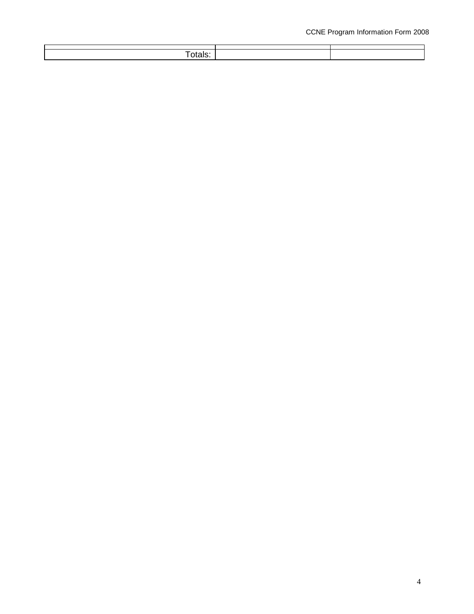| วเals. |  |
|--------|--|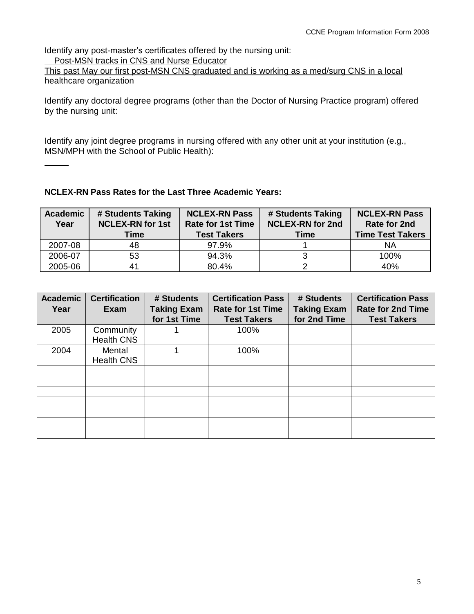Identify any post-master's certificates offered by the nursing unit: Post-MSN tracks in CNS and Nurse Educator

This past May our first post-MSN CNS graduated and is working as a med/surg CNS in a local healthcare organization

Identify any doctoral degree programs (other than the Doctor of Nursing Practice program) offered by the nursing unit:

Identify any joint degree programs in nursing offered with any other unit at your institution (e.g., MSN/MPH with the School of Public Health):

## **NCLEX-RN Pass Rates for the Last Three Academic Years:**

| <b>Academic</b><br>Year | # Students Taking<br><b>NCLEX-RN for 1st</b><br>Time | <b>NCLEX-RN Pass</b><br><b>Rate for 1st Time</b><br><b>Test Takers</b> | # Students Taking<br><b>NCLEX-RN for 2nd</b><br>Time | <b>NCLEX-RN Pass</b><br>Rate for 2nd<br><b>Time Test Takers</b> |
|-------------------------|------------------------------------------------------|------------------------------------------------------------------------|------------------------------------------------------|-----------------------------------------------------------------|
| 2007-08                 | 48                                                   | 97.9%                                                                  |                                                      | ΝA                                                              |
| 2006-07                 | 53                                                   | 94.3%                                                                  |                                                      | 100%                                                            |
| 2005-06                 | 41                                                   | 80.4%                                                                  |                                                      | 40%                                                             |

| <b>Academic</b><br>Year | <b>Certification</b><br>Exam   | # Students<br><b>Taking Exam</b><br>for 1st Time | <b>Certification Pass</b><br><b>Rate for 1st Time</b><br><b>Test Takers</b> | # Students<br><b>Taking Exam</b><br>for 2nd Time | <b>Certification Pass</b><br><b>Rate for 2nd Time</b><br><b>Test Takers</b> |
|-------------------------|--------------------------------|--------------------------------------------------|-----------------------------------------------------------------------------|--------------------------------------------------|-----------------------------------------------------------------------------|
| 2005                    | Community<br><b>Health CNS</b> |                                                  | 100%                                                                        |                                                  |                                                                             |
| 2004                    | Mental<br><b>Health CNS</b>    |                                                  | 100%                                                                        |                                                  |                                                                             |
|                         |                                |                                                  |                                                                             |                                                  |                                                                             |
|                         |                                |                                                  |                                                                             |                                                  |                                                                             |
|                         |                                |                                                  |                                                                             |                                                  |                                                                             |
|                         |                                |                                                  |                                                                             |                                                  |                                                                             |
|                         |                                |                                                  |                                                                             |                                                  |                                                                             |
|                         |                                |                                                  |                                                                             |                                                  |                                                                             |
|                         |                                |                                                  |                                                                             |                                                  |                                                                             |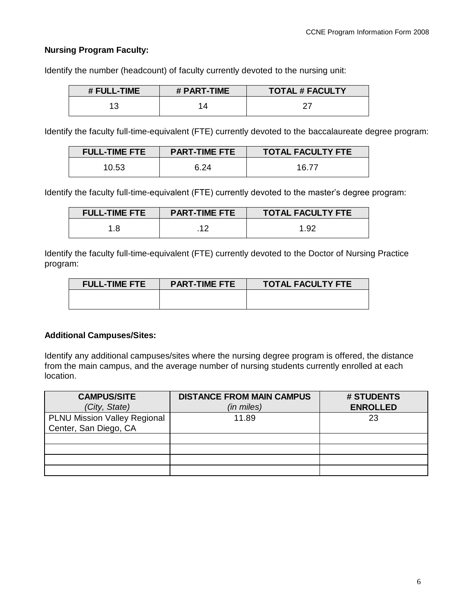## **Nursing Program Faculty:**

Identify the number (headcount) of faculty currently devoted to the nursing unit:

| # FULL-TIME | # PART-TIME | <b>TOTAL # FACULTY</b> |
|-------------|-------------|------------------------|
|             |             |                        |

Identify the faculty full-time-equivalent (FTE) currently devoted to the baccalaureate degree program:

| <b>FULL-TIME FTE</b> | <b>TOTAL FACULTY FTE</b><br><b>PART-TIME FTE</b> |       |
|----------------------|--------------------------------------------------|-------|
| 10.53                | 6.24                                             | 16.77 |

Identify the faculty full-time-equivalent (FTE) currently devoted to the master's degree program:

| <b>FULL-TIME FTE</b> | <b>TOTAL FACULTY FTE</b><br><b>PART-TIME FTE</b> |      |
|----------------------|--------------------------------------------------|------|
|                      |                                                  | 1 Q2 |

Identify the faculty full-time-equivalent (FTE) currently devoted to the Doctor of Nursing Practice program:

| <b>FULL-TIME FTE</b> | <b>PART-TIME FTE</b> | <b>TOTAL FACULTY FTE</b> |
|----------------------|----------------------|--------------------------|
|                      |                      |                          |
|                      |                      |                          |

#### **Additional Campuses/Sites:**

Identify any additional campuses/sites where the nursing degree program is offered, the distance from the main campus, and the average number of nursing students currently enrolled at each location.

| <b>CAMPUS/SITE</b>                  | <b>DISTANCE FROM MAIN CAMPUS</b> | # STUDENTS      |
|-------------------------------------|----------------------------------|-----------------|
| (City, State)                       | (in miles)                       | <b>ENROLLED</b> |
| <b>PLNU Mission Valley Regional</b> | 11.89                            | 23              |
| Center, San Diego, CA               |                                  |                 |
|                                     |                                  |                 |
|                                     |                                  |                 |
|                                     |                                  |                 |
|                                     |                                  |                 |